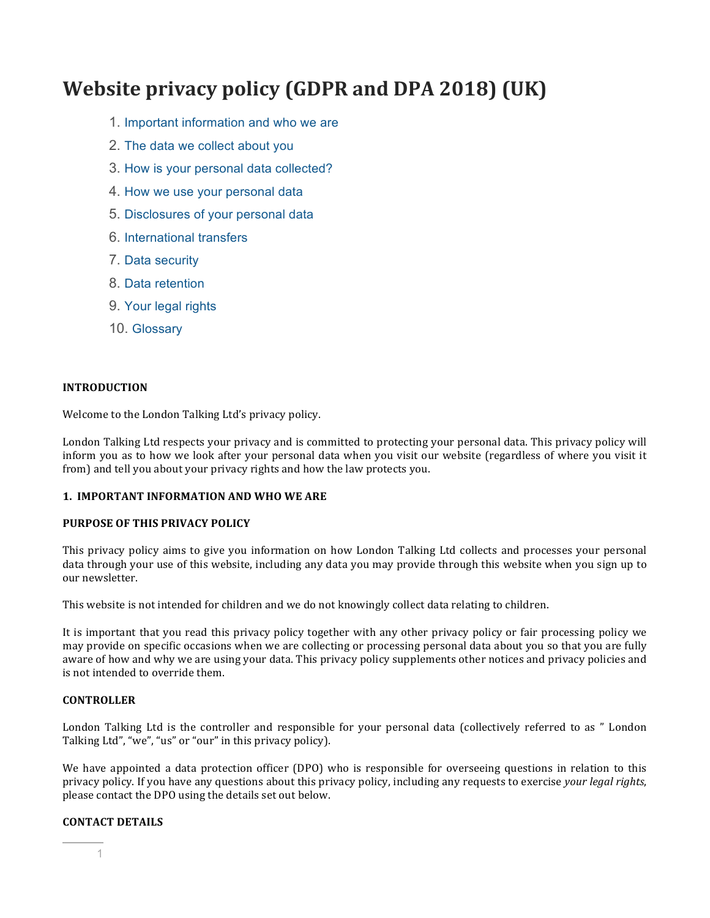# **Website privacy policy (GDPR and DPA 2018) (UK)**

- 1. Important information and who we are
- 2. The data we collect about you
- 3. How is your personal data collected?
- 4. How we use your personal data
- 5. Disclosures of your personal data
- 6. International transfers
- 7. Data security
- 8. Data retention
- 9. Your legal rights
- 10. Glossary

## **INTRODUCTION**

Welcome to the London Talking Ltd's privacy policy.

London Talking Ltd respects your privacy and is committed to protecting your personal data. This privacy policy will inform you as to how we look after your personal data when you visit our website (regardless of where you visit it from) and tell you about your privacy rights and how the law protects you.

## **1. IMPORTANT INFORMATION AND WHO WE ARE**

## **PURPOSE OF THIS PRIVACY POLICY**

This privacy policy aims to give you information on how London Talking Ltd collects and processes your personal data through your use of this website, including any data you may provide through this website when you sign up to our newsletter.

This website is not intended for children and we do not knowingly collect data relating to children.

It is important that you read this privacy policy together with any other privacy policy or fair processing policy we may provide on specific occasions when we are collecting or processing personal data about you so that you are fully aware of how and why we are using your data. This privacy policy supplements other notices and privacy policies and is not intended to override them.

## **CONTROLLER**

London Talking Ltd is the controller and responsible for your personal data (collectively referred to as " London Talking Ltd", "we", "us" or "our" in this privacy policy).

We have appointed a data protection officer (DPO) who is responsible for overseeing questions in relation to this privacy policy. If you have any questions about this privacy policy, including any requests to exercise *your legal rights*, please contact the DPO using the details set out below.

## **CONTACT DETAILS**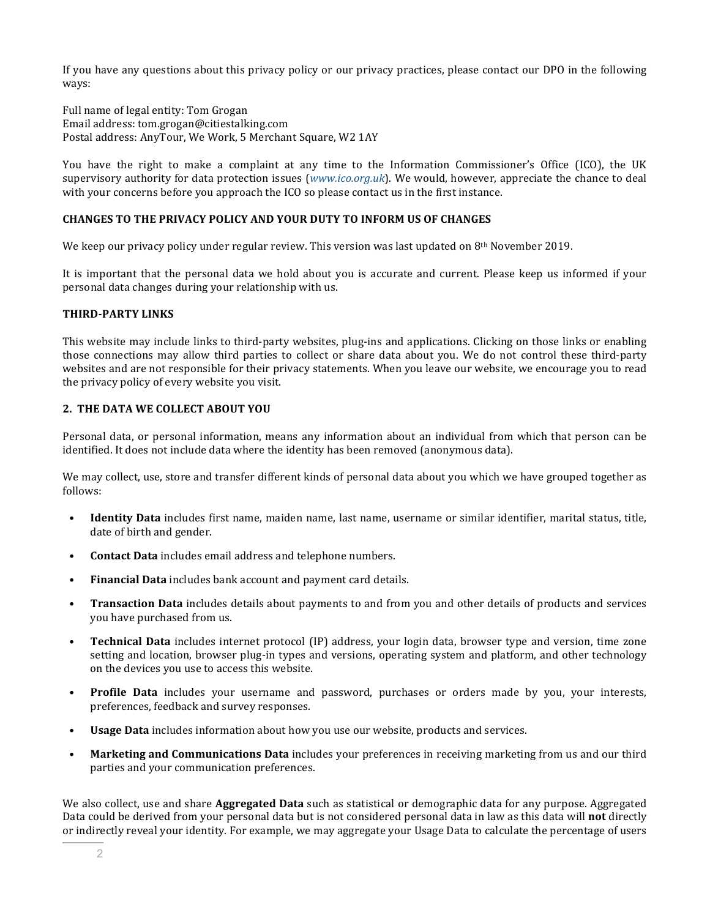If you have any questions about this privacy policy or our privacy practices, please contact our DPO in the following ways:

Full name of legal entity: Tom Grogan Email address: tom.grogan@citiestalking.com Postal address: AnyTour, We Work, 5 Merchant Square, W2 1AY

You have the right to make a complaint at any time to the Information Commissioner's Office (ICO), the UK supervisory authority for data protection issues (*www.ico.org.uk*). We would, however, appreciate the chance to deal with your concerns before you approach the ICO so please contact us in the first instance.

# **CHANGES TO THE PRIVACY POLICY AND YOUR DUTY TO INFORM US OF CHANGES**

We keep our privacy policy under regular review. This version was last updated on  $8<sup>th</sup>$  November 2019.

It is important that the personal data we hold about you is accurate and current. Please keep us informed if your personal data changes during your relationship with us.

## **THIRD-PARTY LINKS**

This website may include links to third-party websites, plug-ins and applications. Clicking on those links or enabling those connections may allow third parties to collect or share data about you. We do not control these third-party websites and are not responsible for their privacy statements. When you leave our website, we encourage you to read the privacy policy of every website you visit.

# **2. THE DATA WE COLLECT ABOUT YOU**

Personal data, or personal information, means any information about an individual from which that person can be identified. It does not include data where the identity has been removed (anonymous data).

We may collect, use, store and transfer different kinds of personal data about you which we have grouped together as follows:

- **Identity Data** includes first name, maiden name, last name, username or similar identifier, marital status, title, date of birth and gender.
- Contact Data includes email address and telephone numbers.
- Financial Data includes bank account and payment card details.
- **Transaction Data** includes details about payments to and from you and other details of products and services you have purchased from us.
- **Technical Data** includes internet protocol (IP) address, your login data, browser type and version, time zone setting and location, browser plug-in types and versions, operating system and platform, and other technology on the devices you use to access this website.
- **Profile Data** includes your username and password, purchases or orders made by you, your interests, preferences, feedback and survey responses.
- **Usage Data** includes information about how you use our website, products and services.
- Marketing and Communications Data includes your preferences in receiving marketing from us and our third parties and your communication preferences.

We also collect, use and share **Aggregated Data** such as statistical or demographic data for any purpose. Aggregated Data could be derived from your personal data but is not considered personal data in law as this data will **not** directly or indirectly reveal your identity. For example, we may aggregate your Usage Data to calculate the percentage of users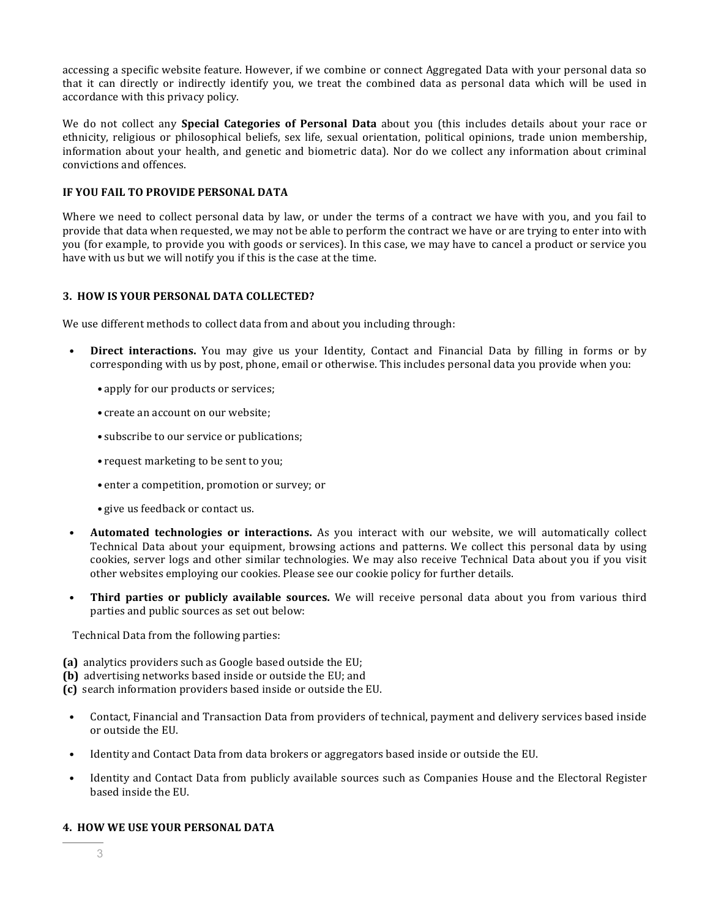accessing a specific website feature. However, if we combine or connect Aggregated Data with your personal data so that it can directly or indirectly identify you, we treat the combined data as personal data which will be used in accordance with this privacy policy.

We do not collect any **Special Categories of Personal Data** about you (this includes details about your race or ethnicity, religious or philosophical beliefs, sex life, sexual orientation, political opinions, trade union membership, information about your health, and genetic and biometric data). Nor do we collect any information about criminal convictions and offences.

# **IF YOU FAIL TO PROVIDE PERSONAL DATA**

Where we need to collect personal data by law, or under the terms of a contract we have with you, and you fail to provide that data when requested, we may not be able to perform the contract we have or are trying to enter into with you (for example, to provide you with goods or services). In this case, we may have to cancel a product or service you have with us but we will notify you if this is the case at the time.

## **3. HOW IS YOUR PERSONAL DATA COLLECTED?**

We use different methods to collect data from and about you including through:

- Direct interactions. You may give us your Identity, Contact and Financial Data by filling in forms or by corresponding with us by post, phone, email or otherwise. This includes personal data you provide when you:
	- apply for our products or services;
	- create an account on our website;
	- subscribe to our service or publications;
	- request marketing to be sent to you;
	- enter a competition, promotion or survey; or
	- give us feedback or contact us.
- **Automated technologies or interactions.** As you interact with our website, we will automatically collect Technical Data about your equipment, browsing actions and patterns. We collect this personal data by using cookies, server logs and other similar technologies. We may also receive Technical Data about you if you visit other websites employing our cookies. Please see our cookie policy for further details.
- **Third parties or publicly available sources.** We will receive personal data about you from various third parties and public sources as set out below:

Technical Data from the following parties:

- **(a)** analytics providers such as Google based outside the EU;
- **(b)** advertising networks based inside or outside the EU; and
- **(c)** search information providers based inside or outside the EU.
- Contact, Financial and Transaction Data from providers of technical, payment and delivery services based inside or outside the EU.
- Identity and Contact Data from data brokers or aggregators based inside or outside the EU.
- Identity and Contact Data from publicly available sources such as Companies House and the Electoral Register based inside the EU.

## **4. HOW WE USE YOUR PERSONAL DATA**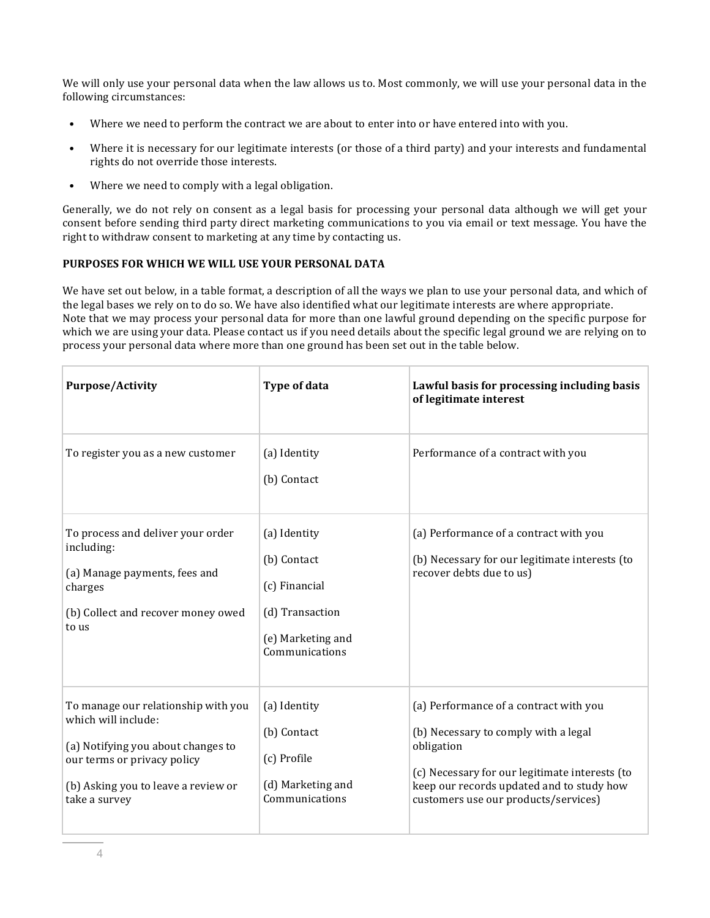We will only use your personal data when the law allows us to. Most commonly, we will use your personal data in the following circumstances:

- Where we need to perform the contract we are about to enter into or have entered into with you.
- Where it is necessary for our legitimate interests (or those of a third party) and your interests and fundamental rights do not override those interests.
- Where we need to comply with a legal obligation.

Generally, we do not rely on consent as a legal basis for processing your personal data although we will get your consent before sending third party direct marketing communications to you via email or text message. You have the right to withdraw consent to marketing at any time by contacting us.

# **PURPOSES FOR WHICH WE WILL USE YOUR PERSONAL DATA**

We have set out below, in a table format, a description of all the ways we plan to use your personal data, and which of the legal bases we rely on to do so. We have also identified what our legitimate interests are where appropriate. Note that we may process your personal data for more than one lawful ground depending on the specific purpose for which we are using your data. Please contact us if you need details about the specific legal ground we are relying on to process your personal data where more than one ground has been set out in the table below.

| <b>Purpose/Activity</b>                                                                                                                                                                 | Type of data                                                                                           | Lawful basis for processing including basis<br>of legitimate interest                                                                                                                                                               |
|-----------------------------------------------------------------------------------------------------------------------------------------------------------------------------------------|--------------------------------------------------------------------------------------------------------|-------------------------------------------------------------------------------------------------------------------------------------------------------------------------------------------------------------------------------------|
| To register you as a new customer                                                                                                                                                       | (a) Identity<br>(b) Contact                                                                            | Performance of a contract with you                                                                                                                                                                                                  |
| To process and deliver your order<br>including:<br>(a) Manage payments, fees and<br>charges<br>(b) Collect and recover money owed<br>to us                                              | (a) Identity<br>(b) Contact<br>(c) Financial<br>(d) Transaction<br>(e) Marketing and<br>Communications | (a) Performance of a contract with you<br>(b) Necessary for our legitimate interests (to<br>recover debts due to us)                                                                                                                |
| To manage our relationship with you<br>which will include:<br>(a) Notifying you about changes to<br>our terms or privacy policy<br>(b) Asking you to leave a review or<br>take a survey | (a) Identity<br>(b) Contact<br>(c) Profile<br>(d) Marketing and<br>Communications                      | (a) Performance of a contract with you<br>(b) Necessary to comply with a legal<br>obligation<br>(c) Necessary for our legitimate interests (to<br>keep our records updated and to study how<br>customers use our products/services) |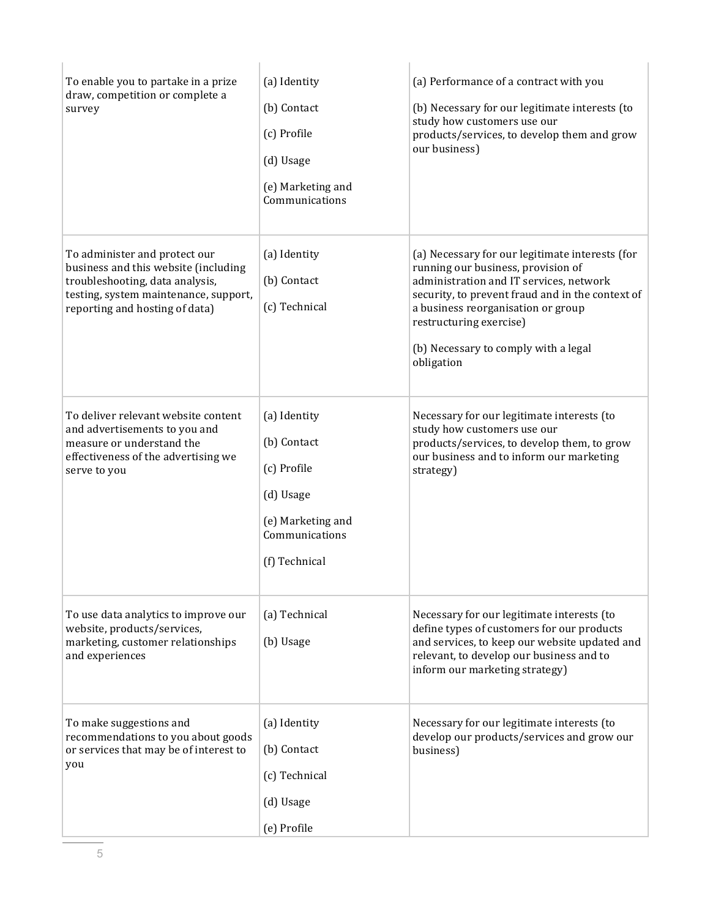| To enable you to partake in a prize<br>draw, competition or complete a<br>survey                                                                                                    | (a) Identity<br>(b) Contact<br>(c) Profile<br>(d) Usage<br>(e) Marketing and<br>Communications                  | (a) Performance of a contract with you<br>(b) Necessary for our legitimate interests (to<br>study how customers use our<br>products/services, to develop them and grow<br>our business)                                                                                                                     |
|-------------------------------------------------------------------------------------------------------------------------------------------------------------------------------------|-----------------------------------------------------------------------------------------------------------------|-------------------------------------------------------------------------------------------------------------------------------------------------------------------------------------------------------------------------------------------------------------------------------------------------------------|
| To administer and protect our<br>business and this website (including<br>troubleshooting, data analysis,<br>testing, system maintenance, support,<br>reporting and hosting of data) | (a) Identity<br>(b) Contact<br>(c) Technical                                                                    | (a) Necessary for our legitimate interests (for<br>running our business, provision of<br>administration and IT services, network<br>security, to prevent fraud and in the context of<br>a business reorganisation or group<br>restructuring exercise)<br>(b) Necessary to comply with a legal<br>obligation |
| To deliver relevant website content<br>and advertisements to you and<br>measure or understand the<br>effectiveness of the advertising we<br>serve to you                            | (a) Identity<br>(b) Contact<br>(c) Profile<br>(d) Usage<br>(e) Marketing and<br>Communications<br>(f) Technical | Necessary for our legitimate interests (to<br>study how customers use our<br>products/services, to develop them, to grow<br>our business and to inform our marketing<br>strategy)                                                                                                                           |
| To use data analytics to improve our<br>website, products/services,<br>marketing, customer relationships<br>and experiences                                                         | (a) Technical<br>(b) Usage                                                                                      | Necessary for our legitimate interests (to<br>define types of customers for our products<br>and services, to keep our website updated and<br>relevant, to develop our business and to<br>inform our marketing strategy)                                                                                     |
| To make suggestions and<br>recommendations to you about goods<br>or services that may be of interest to<br>you                                                                      | (a) Identity<br>(b) Contact<br>(c) Technical<br>(d) Usage<br>(e) Profile                                        | Necessary for our legitimate interests (to<br>develop our products/services and grow our<br>business)                                                                                                                                                                                                       |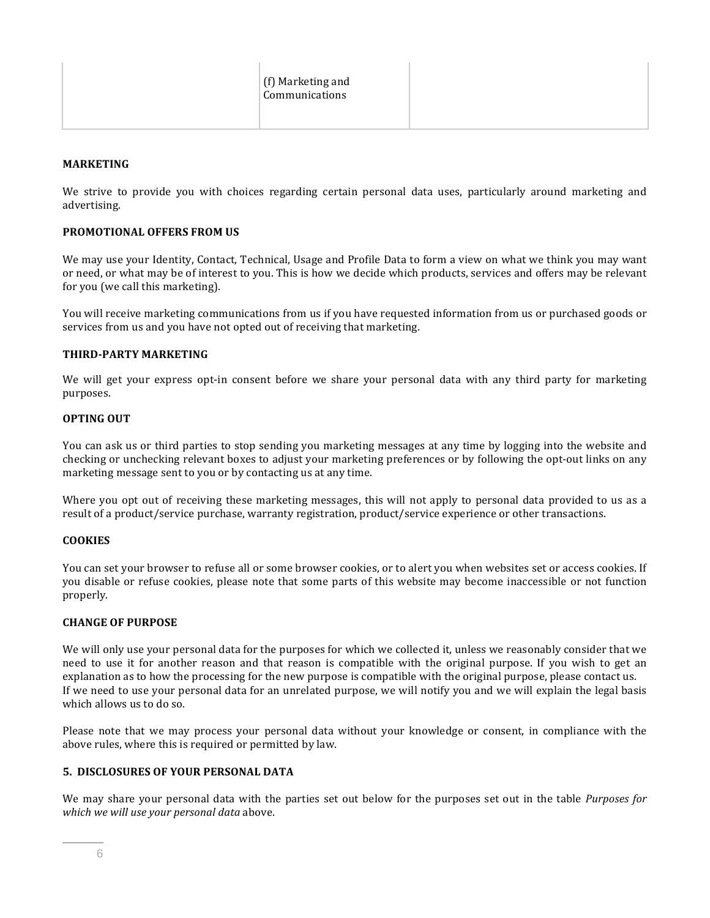|  | $(f)$ Marketing and<br>Communications |  |  |
|--|---------------------------------------|--|--|
|--|---------------------------------------|--|--|

## **MARKETING**

We strive to provide you with choices regarding certain personal data uses, particularly around marketing and advertising. 

#### **PROMOTIONAL OFFERS FROM US**

We may use your Identity, Contact, Technical, Usage and Profile Data to form a view on what we think you may want or need, or what may be of interest to you. This is how we decide which products, services and offers may be relevant for you (we call this marketing).

You will receive marketing communications from us if you have requested information from us or purchased goods or services from us and you have not opted out of receiving that marketing.

## **THIRD-PARTY MARKETING**

We will get your express opt-in consent before we share your personal data with any third party for marketing purposes.

#### **OPTING OUT**

You can ask us or third parties to stop sending you marketing messages at any time by logging into the website and checking or unchecking relevant boxes to adjust your marketing preferences or by following the opt-out links on any marketing message sent to you or by contacting us at any time.

Where you opt out of receiving these marketing messages, this will not apply to personal data provided to us as a result of a product/service purchase, warranty registration, product/service experience or other transactions.

#### **COOKIES**

You can set your browser to refuse all or some browser cookies, or to alert you when websites set or access cookies. If you disable or refuse cookies, please note that some parts of this website may become inaccessible or not function properly. 

#### **CHANGE OF PURPOSE**

We will only use your personal data for the purposes for which we collected it, unless we reasonably consider that we need to use it for another reason and that reason is compatible with the original purpose. If you wish to get an explanation as to how the processing for the new purpose is compatible with the original purpose, please contact us. If we need to use your personal data for an unrelated purpose, we will notify you and we will explain the legal basis which allows us to do so.

Please note that we may process your personal data without your knowledge or consent, in compliance with the above rules, where this is required or permitted by law.

## **5. DISCLOSURES OF YOUR PERSONAL DATA**

We may share your personal data with the parties set out below for the purposes set out in the table *Purposes for which* we will use your personal data above.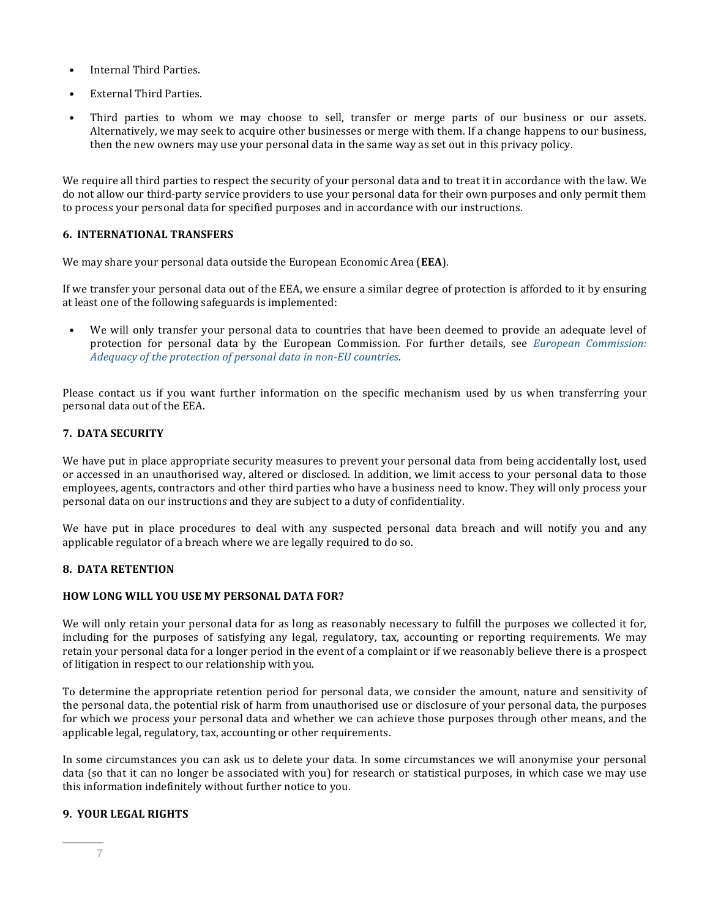- Internal Third Parties.
- External Third Parties.
- Third parties to whom we may choose to sell, transfer or merge parts of our business or our assets. Alternatively, we may seek to acquire other businesses or merge with them. If a change happens to our business, then the new owners may use your personal data in the same way as set out in this privacy policy.

We require all third parties to respect the security of your personal data and to treat it in accordance with the law. We do not allow our third-party service providers to use your personal data for their own purposes and only permit them to process your personal data for specified purposes and in accordance with our instructions.

## **6. INTERNATIONAL TRANSFERS**

We may share your personal data outside the European Economic Area (EEA).

If we transfer your personal data out of the EEA, we ensure a similar degree of protection is afforded to it by ensuring at least one of the following safeguards is implemented:

We will only transfer your personal data to countries that have been deemed to provide an adequate level of protection for personal data by the European Commission. For further details, see *European Commission:* Adequacy of the protection of personal data in non-EU countries.

Please contact us if you want further information on the specific mechanism used by us when transferring your personal data out of the EEA.

# **7. DATA SECURITY**

We have put in place appropriate security measures to prevent your personal data from being accidentally lost, used or accessed in an unauthorised way, altered or disclosed. In addition, we limit access to your personal data to those employees, agents, contractors and other third parties who have a business need to know. They will only process your personal data on our instructions and they are subject to a duty of confidentiality.

We have put in place procedures to deal with any suspected personal data breach and will notify you and any applicable regulator of a breach where we are legally required to do so.

## **8. DATA RETENTION**

#### **HOW LONG WILL YOU USE MY PERSONAL DATA FOR?**

We will only retain your personal data for as long as reasonably necessary to fulfill the purposes we collected it for, including for the purposes of satisfying any legal, regulatory, tax, accounting or reporting requirements. We may retain your personal data for a longer period in the event of a complaint or if we reasonably believe there is a prospect of litigation in respect to our relationship with you.

To determine the appropriate retention period for personal data, we consider the amount, nature and sensitivity of the personal data, the potential risk of harm from unauthorised use or disclosure of your personal data, the purposes for which we process your personal data and whether we can achieve those purposes through other means, and the applicable legal, regulatory, tax, accounting or other requirements.

In some circumstances you can ask us to delete your data. In some circumstances we will anonymise your personal data (so that it can no longer be associated with you) for research or statistical purposes, in which case we may use this information indefinitely without further notice to you.

## **9. YOUR LEGAL RIGHTS**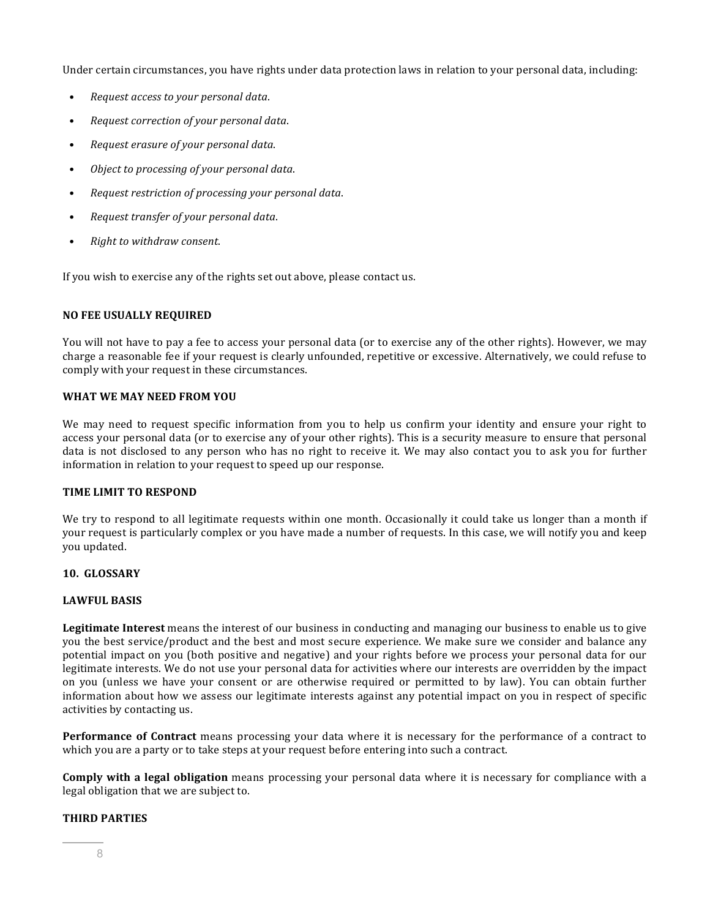Under certain circumstances, you have rights under data protection laws in relation to your personal data, including:

- Request access to your personal data.
- Request correction of your personal data.
- Request erasure of your personal data.
- Object to processing of your personal data.
- *Request restriction of processing your personal data*.
- *Request transfer of your personal data*.
- **Right to withdraw consent.**

If you wish to exercise any of the rights set out above, please contact us.

## **NO FEE USUALLY REQUIRED**

You will not have to pay a fee to access your personal data (or to exercise any of the other rights). However, we may charge a reasonable fee if your request is clearly unfounded, repetitive or excessive. Alternatively, we could refuse to comply with your request in these circumstances.

## **WHAT WE MAY NEED FROM YOU**

We may need to request specific information from you to help us confirm your identity and ensure your right to access your personal data (or to exercise any of your other rights). This is a security measure to ensure that personal data is not disclosed to any person who has no right to receive it. We may also contact you to ask you for further information in relation to your request to speed up our response.

## **TIME LIMIT TO RESPOND**

We try to respond to all legitimate requests within one month. Occasionally it could take us longer than a month if your request is particularly complex or you have made a number of requests. In this case, we will notify you and keep you updated.

## 10. **GLOSSARY**

## **LAWFUL BASIS**

**Legitimate Interest** means the interest of our business in conducting and managing our business to enable us to give you the best service/product and the best and most secure experience. We make sure we consider and balance any potential impact on you (both positive and negative) and your rights before we process your personal data for our legitimate interests. We do not use your personal data for activities where our interests are overridden by the impact on you (unless we have your consent or are otherwise required or permitted to by law). You can obtain further information about how we assess our legitimate interests against any potential impact on you in respect of specific activities by contacting us.

**Performance of Contract** means processing your data where it is necessary for the performance of a contract to which you are a party or to take steps at your request before entering into such a contract.

**Comply with a legal obligation** means processing your personal data where it is necessary for compliance with a legal obligation that we are subject to.

## **THIRD PARTIES**